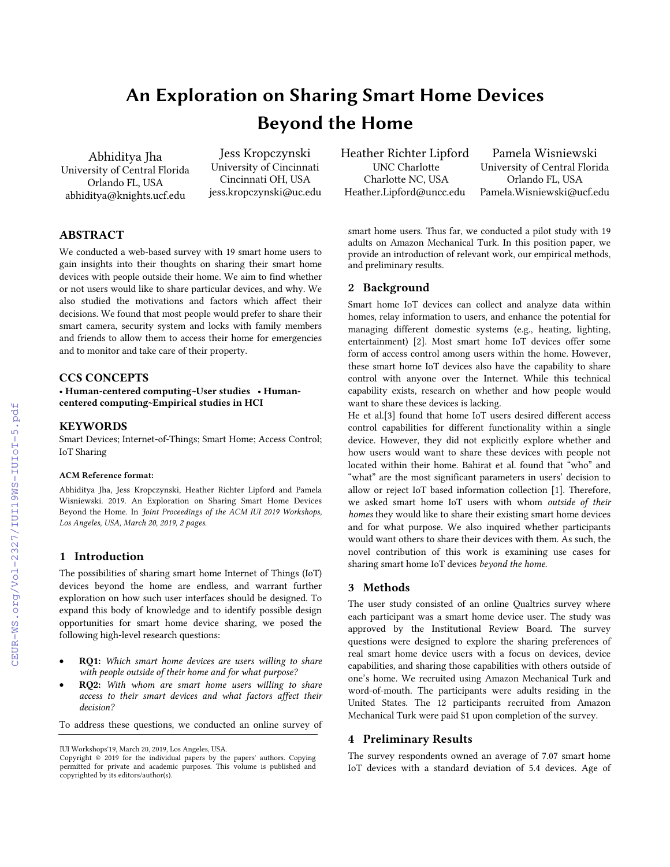# An Exploration on Sharing Smart Home Devices Beyond the Home

Abhiditya Jha University of Central Florida Orlando FL, USA abhiditya@knights.ucf.edu

Jess Kropczynski University of Cincinnati Cincinnati OH, USA jess.kropczynski@uc.edu

# ABSTRACT

We conducted a web-based survey with 19 smart home users to gain insights into their thoughts on sharing their smart home devices with people outside their home. We aim to find whether or not users would like to share particular devices, and why. We also studied the motivations and factors which affect their decisions. We found that most people would prefer to share their smart camera, security system and locks with family members and friends to allow them to access their home for emergencies and to monitor and take care of their property.

## CCS CONCEPTS

• Human-centered computing~User studies • Humancentered computing~Empirical studies in HCI

## **KEYWORDS**

Smart Devices; Internet-of-Things; Smart Home; Access Control; IoT Sharing

#### ACM Reference format:

Abhiditya Jha, Jess Kropczynski, Heather Richter Lipford and Pamela Wisniewski. 2019. An Exploration on Sharing Smart Home Devices Beyond the Home. In *Joint Proceedings of the ACM IUI 2019 Workshops, Los Angeles, USA, March 20, 2019, 2 pages.*

## 1 Introduction

The possibilities of sharing smart home Internet of Things (IoT) devices beyond the home are endless, and warrant further exploration on how such user interfaces should be designed. To expand this body of knowledge and to identify possible design opportunities for smart home device sharing, we posed the following high-level research questions:

- RQ1: *Which smart home devices are users willing to share with people outside of their home and for what purpose?*
- RQ2: *With whom are smart home users willing to share access to their smart devices and what factors affect their decision?*

To address these questions, we conducted an online survey of

Heather Richter Lipford UNC Charlotte Charlotte NC, USA Heather.Lipford@uncc.edu

Pamela Wisniewski University of Central Florida Orlando FL, USA Pamela.Wisniewski@ucf.edu

smart home users. Thus far, we conducted a pilot study with 19 adults on Amazon Mechanical Turk. In this position paper, we provide an introduction of relevant work, our empirical methods, and preliminary results.

## 2 Background

Smart home IoT devices can collect and analyze data within homes, relay information to users, and enhance the potential for managing different domestic systems (e.g., heating, lighting, entertainment) [2]. Most smart home IoT devices offer some form of access control among users within the home. However, these smart home IoT devices also have the capability to share control with anyone over the Internet. While this technical capability exists, research on whether and how people would want to share these devices is lacking.

He et al.[3] found that home IoT users desired different access control capabilities for different functionality within a single device. However, they did not explicitly explore whether and how users would want to share these devices with people not located within their home. Bahirat et al. found that "who" and "what" are the most significant parameters in users' decision to allow or reject IoT based information collection [1]. Therefore, we asked smart home IoT users with whom *outside of their homes* they would like to share their existing smart home devices and for what purpose. We also inquired whether participants would want others to share their devices with them. As such, the novel contribution of this work is examining use cases for sharing smart home IoT devices *beyond the home*.

## 3 Methods

The user study consisted of an online Qualtrics survey where each participant was a smart home device user. The study was approved by the Institutional Review Board. The survey questions were designed to explore the sharing preferences of real smart home device users with a focus on devices, device capabilities, and sharing those capabilities with others outside of one's home. We recruited using Amazon Mechanical Turk and word-of-mouth. The participants were adults residing in the United States. The 12 participants recruited from Amazon Mechanical Turk were paid \$1 upon completion of the survey.

## 4 Preliminary Results

The survey respondents owned an average of 7.07 smart home IoT devices with a standard deviation of 5.4 devices. Age of

IUI Workshops'19, March 20, 2019, Los Angeles, USA.

Copyright © 2019 for the individual papers by the papers' authors. Copying permitted for private and academic purposes. This volume is published and copyrighted by its editors/author(s).